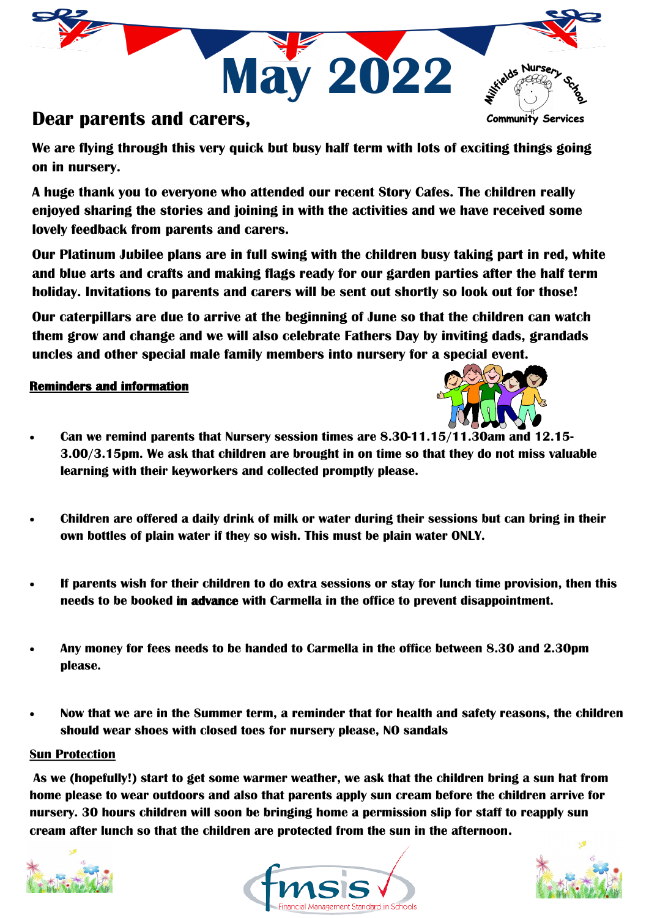

### **Dear parents and carers,**

**We are flying through this very quick but busy half term with lots of exciting things going on in nursery.** 

**A huge thank you to everyone who attended our recent Story Cafes. The children really enjoyed sharing the stories and joining in with the activities and we have received some lovely feedback from parents and carers.** 

**Our Platinum Jubilee plans are in full swing with the children busy taking part in red, white and blue arts and crafts and making flags ready for our garden parties after the half term holiday. Invitations to parents and carers will be sent out shortly so look out for those!**

**Our caterpillars are due to arrive at the beginning of June so that the children can watch them grow and change and we will also celebrate Fathers Day by inviting dads, grandads uncles and other special male family members into nursery for a special event.** 

#### **Reminders and information**



- **Can we remind parents that Nursery session times are 8.30-11.15/11.30am and 12.15- 3.00/3.15pm. We ask that children are brought in on time so that they do not miss valuable learning with their keyworkers and collected promptly please.**
- **Children are offered a daily drink of milk or water during their sessions but can bring in their own bottles of plain water if they so wish. This must be plain water ONLY.**
- **If parents wish for their children to do extra sessions or stay for lunch time provision, then this needs to be booked in advance with Carmella in the office to prevent disappointment.**
- **Any money for fees needs to be handed to Carmella in the office between 8.30 and 2.30pm please.**
- **Now that we are in the Summer term, a reminder that for health and safety reasons, the children should wear shoes with closed toes for nursery please, NO sandals**

#### **Sun Protection**

**As we (hopefully!) start to get some warmer weather, we ask that the children bring a sun hat from home please to wear outdoors and also that parents apply sun cream before the children arrive for nursery. 30 hours children will soon be bringing home a permission slip for staff to reapply sun cream after lunch so that the children are protected from the sun in the afternoon.**